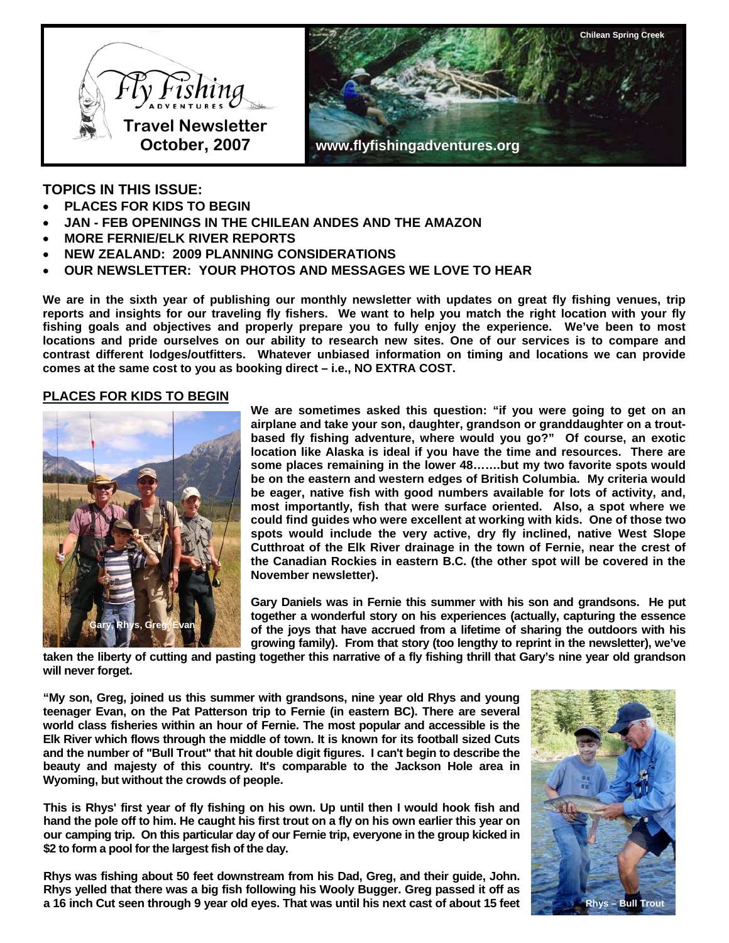



# **TOPICS IN THIS ISSUE:**

- **PLACES FOR KIDS TO BEGIN**
- **JAN FEB OPENINGS IN THE CHILEAN ANDES AND THE AMAZON**
- **MORE FERNIE/ELK RIVER REPORTS**
- **NEW ZEALAND: 2009 PLANNING CONSIDERATIONS**
- **OUR NEWSLETTER: YOUR PHOTOS AND MESSAGES WE LOVE TO HEAR**

**We are in the sixth year of publishing our monthly newsletter with updates on great fly fishing venues, trip reports and insights for our traveling fly fishers. We want to help you match the right location with your fly fishing goals and objectives and properly prepare you to fully enjoy the experience. We've been to most locations and pride ourselves on our ability to research new sites. One of our services is to compare and contrast different lodges/outfitters. Whatever unbiased information on timing and locations we can provide comes at the same cost to you as booking direct – i.e., NO EXTRA COST.** 

#### **PLACES FOR KIDS TO BEGIN**



**We are sometimes asked this question: "if you were going to get on an airplane and take your son, daughter, grandson or granddaughter on a troutbased fly fishing adventure, where would you go?" Of course, an exotic location like Alaska is ideal if you have the time and resources. There are some places remaining in the lower 48…….but my two favorite spots would be on the eastern and western edges of British Columbia. My criteria would be eager, native fish with good numbers available for lots of activity, and, most importantly, fish that were surface oriented. Also, a spot where we could find guides who were excellent at working with kids. One of those two spots would include the very active, dry fly inclined, native West Slope Cutthroat of the Elk River drainage in the town of Fernie, near the crest of the Canadian Rockies in eastern B.C. (the other spot will be covered in the November newsletter).** 

**Gary Daniels was in Fernie this summer with his son and grandsons. He put together a wonderful story on his experiences (actually, capturing the essence of the joys that have accrued from a lifetime of sharing the outdoors with his growing family). From that story (too lengthy to reprint in the newsletter), we've** 

**taken the liberty of cutting and pasting together this narrative of a fly fishing thrill that Gary's nine year old grandson will never forget.** 

**"My son, Greg, joined us this summer with grandsons, nine year old Rhys and young teenager Evan, on the Pat Patterson trip to Fernie (in eastern BC). There are several world class fisheries within an hour of Fernie. The most popular and accessible is the Elk River which flows through the middle of town. It is known for its football sized Cuts and the number of "Bull Trout" that hit double digit figures. I can't begin to describe the beauty and majesty of this country. It's comparable to the Jackson Hole area in Wyoming, but without the crowds of people.** 

**This is Rhys' first year of fly fishing on his own. Up until then I would hook fish and hand the pole off to him. He caught his first trout on a fly on his own earlier this year on our camping trip. On this particular day of our Fernie trip, everyone in the group kicked in \$2 to form a pool for the largest fish of the day.** 

**Rhys was fishing about 50 feet downstream from his Dad, Greg, and their guide, John. Rhys yelled that there was a big fish following his Wooly Bugger. Greg passed it off as a 16 inch Cut seen through 9 year old eyes. That was until his next cast of about 15 feet Rhys – Bull Trout** 

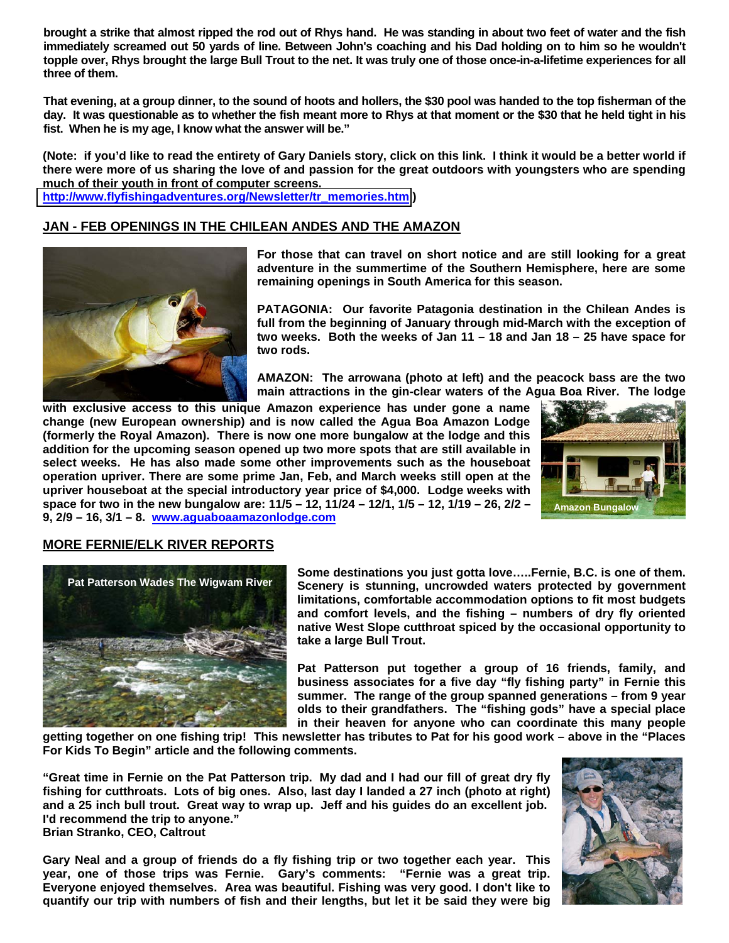**brought a strike that almost ripped the rod out of Rhys hand. He was standing in about two feet of water and the fish immediately screamed out 50 yards of line. Between John's coaching and his Dad holding on to him so he wouldn't topple over, Rhys brought the large Bull Trout to the net. It was truly one of those once-in-a-lifetime experiences for all three of them.** 

**That evening, at a group dinner, to the sound of hoots and hollers, the \$30 pool was handed to the top fisherman of the day. It was questionable as to whether the fish meant more to Rhys at that moment or the \$30 that he held tight in his fist. When he is my age, I know what the answer will be."** 

**(Note: if you'd like to read the entirety of Gary Daniels story, click on this link. I think it would be a better world if there were more of us sharing the love of and passion for the great outdoors with youngsters who are spending much of their youth in front of computer screens. [http://www.flyfishingadventures.org/Newsletter/tr\\_memories.htm](http://media.wix.com/ugd/02e769_5233fcc47a51f74b5439c89e66ad7bdd.pdf) )** 

### **JAN - FEB OPENINGS IN THE CHILEAN ANDES AND THE AMAZON**



**For those that can travel on short notice and are still looking for a great adventure in the summertime of the Southern Hemisphere, here are some remaining openings in South America for this season.** 

**PATAGONIA: Our favorite Patagonia destination in the Chilean Andes is full from the beginning of January through mid-March with the exception of two weeks. Both the weeks of Jan 11 – 18 and Jan 18 – 25 have space for two rods.** 

**AMAZON: The arrowana (photo at left) and the peacock bass are the two main attractions in the gin-clear waters of the Agua Boa River. The lodge** 

**with exclusive access to this unique Amazon experience has under gone a name change (new European ownership) and is now called the Agua Boa Amazon Lodge (formerly the Royal Amazon). There is now one more bungalow at the lodge and this addition for the upcoming season opened up two more spots that are still available in select weeks. He has also made some other improvements such as the houseboat operation upriver. There are some prime Jan, Feb, and March weeks still open at the upriver houseboat at the special introductory year price of \$4,000. Lodge weeks with space for two in the new bungalow are: 11/5 – 12, 11/24 – 12/1, 1/5 – 12, 1/19 – 26, 2/2 – 9, 2/9 – 16, 3/1 – 8. [www.aguaboaamazonlodge.com](http://www.aguaboaamazonlodge.com/) Amazon Bungalow** 



### **MORE FERNIE/ELK RIVER REPORTS**



**Some destinations you just gotta love…..Fernie, B.C. is one of them. Scenery is stunning, uncrowded waters protected by government limitations, comfortable accommodation options to fit most budgets and comfort levels, and the fishing – numbers of dry fly oriented native West Slope cutthroat spiced by the occasional opportunity to take a large Bull Trout.** 

**Pat Patterson put together a group of 16 friends, family, and business associates for a five day "fly fishing party" in Fernie this summer. The range of the group spanned generations – from 9 year olds to their grandfathers. The "fishing gods" have a special place in their heaven for anyone who can coordinate this many people** 

**getting together on one fishing trip! This newsletter has tributes to Pat for his good work – above in the "Places For Kids To Begin" article and the following comments.** 

**"Great time in Fernie on the Pat Patterson trip. My dad and I had our fill of great dry fly fishing for cutthroats. Lots of big ones. Also, last day I landed a 27 inch (photo at right) and a 25 inch bull trout. Great way to wrap up. Jeff and his guides do an excellent job. I'd recommend the trip to anyone." Brian Stranko, CEO, Caltrout** 

**Gary Neal and a group of friends do a fly fishing trip or two together each year. This year, one of those trips was Fernie. Gary's comments: "Fernie was a great trip. Everyone enjoyed themselves. Area was beautiful. Fishing was very good. I don't like to quantify our trip with numbers of fish and their lengths, but let it be said they were big** 

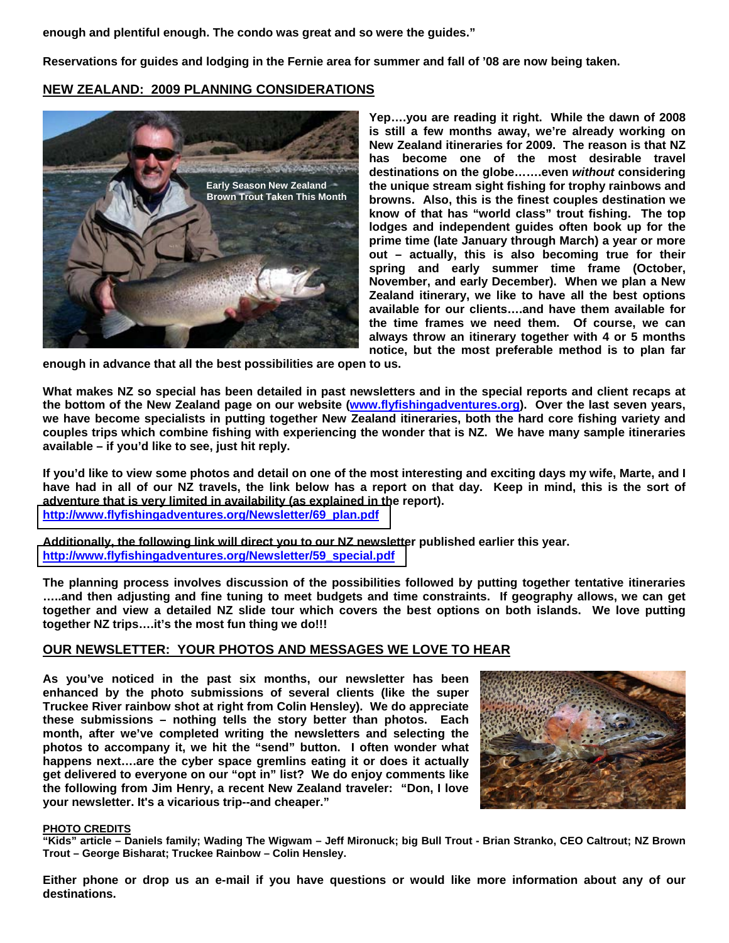**enough and plentiful enough. The condo was great and so were the guides."** 

**Reservations for guides and lodging in the Fernie area for summer and fall of '08 are now being taken.** 

## **NEW ZEALAND: 2009 PLANNING CONSIDERATIONS**



**Yep….you are reading it right. While the dawn of 2008 is still a few months away, we're already working on New Zealand itineraries for 2009. The reason is that NZ has become one of the most desirable travel destinations on the globe…….even** *without* **considering the unique stream sight fishing for trophy rainbows and browns. Also, this is the finest couples destination we know of that has "world class" trout fishing. The top lodges and independent guides often book up for the prime time (late January through March) a year or more out – actually, this is also becoming true for their spring and early summer time frame (October, November, and early December). When we plan a New Zealand itinerary, we like to have all the best options available for our clients….and have them available for the time frames we need them. Of course, we can always throw an itinerary together with 4 or 5 months notice, but the most preferable method is to plan far** 

**enough in advance that all the best possibilities are open to us.** 

**What makes NZ so special has been detailed in past newsletters and in the special reports and client recaps at the bottom of the New Zealand page on our website [\(www.flyfishingadventures.org\)](http://www.flyfishingadventures.org/). Over the last seven years, we have become specialists in putting together New Zealand itineraries, both the hard core fishing variety and couples trips which combine fishing with experiencing the wonder that is NZ. We have many sample itineraries available – if you'd like to see, just hit reply.** 

**If you'd like to view some photos and detail on one of the most interesting and exciting days my wife, Marte, and I**  have had in all of our NZ travels, the link below has a report on that day. Keep in mind, this is the sort of **adventure that is very limited in availability (as explained in the report). [http://www.flyfishingadventures.org/Newsletter/69\\_plan.pdf](http://media.wix.com/ugd/02e769_a806c24d52a94f4c9e1d2cbed49fbfd2.pdf)**

**Additionally, the following link will direct you to our NZ newsletter published earlier this year. [http://www.flyfishingadventures.org/Newsletter/59\\_special.pdf](http://media.wix.com/ugd//02e769_715d4f2afba8433734bec90d133f2f7d.pdf)**

**The planning process involves discussion of the possibilities followed by putting together tentative itineraries …..and then adjusting and fine tuning to meet budgets and time constraints. If geography allows, we can get together and view a detailed NZ slide tour which covers the best options on both islands. We love putting together NZ trips….it's the most fun thing we do!!!** 

### **OUR NEWSLETTER: YOUR PHOTOS AND MESSAGES WE LOVE TO HEAR**

**As you've noticed in the past six months, our newsletter has been enhanced by the photo submissions of several clients (like the super Truckee River rainbow shot at right from Colin Hensley). We do appreciate these submissions – nothing tells the story better than photos. Each month, after we've completed writing the newsletters and selecting the photos to accompany it, we hit the "send" button. I often wonder what happens next….are the cyber space gremlins eating it or does it actually get delivered to everyone on our "opt in" list? We do enjoy comments like the following from Jim Henry, a recent New Zealand traveler: "Don, I love your newsletter. It's a vicarious trip--and cheaper."** 



#### **PHOTO CREDITS**

**"Kids" article – Daniels family; Wading The Wigwam – Jeff Mironuck; big Bull Trout - Brian Stranko, CEO Caltrout; NZ Brown Trout – George Bisharat; Truckee Rainbow – Colin Hensley.** 

**Either phone or drop us an e-mail if you have questions or would like more information about any of our destinations.**